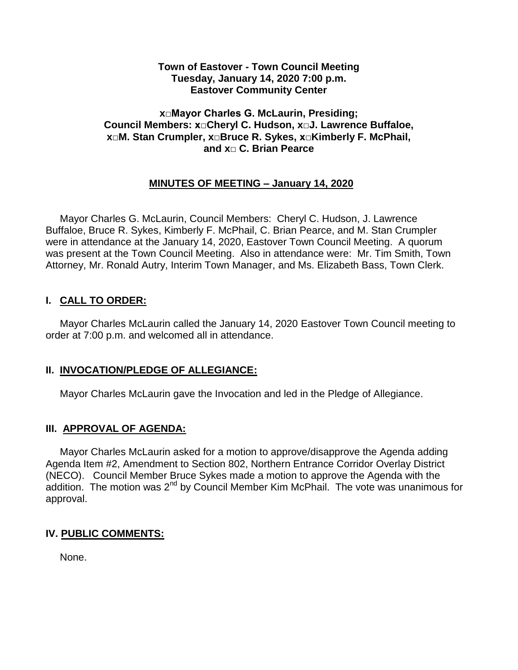#### **Town of Eastover - Town Council Meeting Tuesday, January 14, 2020 7:00 p.m. Eastover Community Center**

## **x□Mayor Charles G. McLaurin, Presiding; Council Members: x□Cheryl C. Hudson, x□J. Lawrence Buffaloe, x□M. Stan Crumpler, x□Bruce R. Sykes, x□Kimberly F. McPhail, and x□ C. Brian Pearce**

## **MINUTES OF MEETING – January 14, 2020**

 Mayor Charles G. McLaurin, Council Members: Cheryl C. Hudson, J. Lawrence Buffaloe, Bruce R. Sykes, Kimberly F. McPhail, C. Brian Pearce, and M. Stan Crumpler were in attendance at the January 14, 2020, Eastover Town Council Meeting. A quorum was present at the Town Council Meeting. Also in attendance were: Mr. Tim Smith, Town Attorney, Mr. Ronald Autry, Interim Town Manager, and Ms. Elizabeth Bass, Town Clerk.

## **I. CALL TO ORDER:**

 Mayor Charles McLaurin called the January 14, 2020 Eastover Town Council meeting to order at 7:00 p.m. and welcomed all in attendance.

# **II. INVOCATION/PLEDGE OF ALLEGIANCE:**

Mayor Charles McLaurin gave the Invocation and led in the Pledge of Allegiance.

## **III. APPROVAL OF AGENDA:**

 Mayor Charles McLaurin asked for a motion to approve/disapprove the Agenda adding Agenda Item #2, Amendment to Section 802, Northern Entrance Corridor Overlay District (NECO). Council Member Bruce Sykes made a motion to approve the Agenda with the addition. The motion was  $2^{nd}$  by Council Member Kim McPhail. The vote was unanimous for approval.

# **IV. PUBLIC COMMENTS:**

None.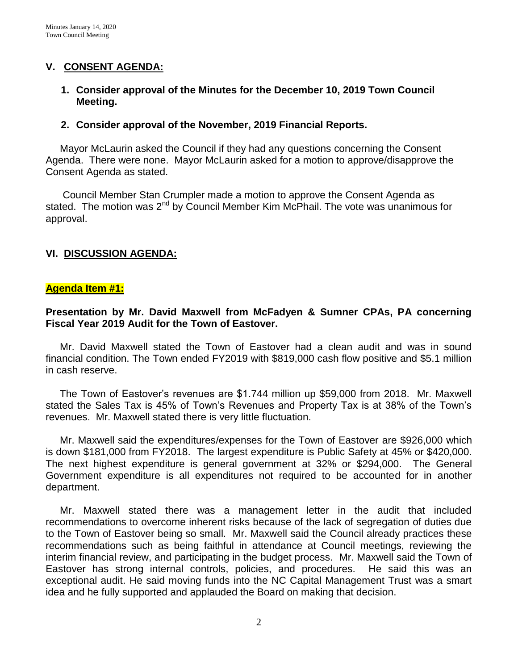## **V. CONSENT AGENDA:**

#### **1. Consider approval of the Minutes for the December 10, 2019 Town Council Meeting.**

#### **2. Consider approval of the November, 2019 Financial Reports.**

 Mayor McLaurin asked the Council if they had any questions concerning the Consent Agenda. There were none. Mayor McLaurin asked for a motion to approve/disapprove the Consent Agenda as stated.

 Council Member Stan Crumpler made a motion to approve the Consent Agenda as stated. The motion was  $2^{nd}$  by Council Member Kim McPhail. The vote was unanimous for approval.

#### **VI. DISCUSSION AGENDA:**

#### **Agenda Item #1:**

#### **Presentation by Mr. David Maxwell from McFadyen & Sumner CPAs, PA concerning Fiscal Year 2019 Audit for the Town of Eastover.**

 Mr. David Maxwell stated the Town of Eastover had a clean audit and was in sound financial condition. The Town ended FY2019 with \$819,000 cash flow positive and \$5.1 million in cash reserve.

 The Town of Eastover's revenues are \$1.744 million up \$59,000 from 2018. Mr. Maxwell stated the Sales Tax is 45% of Town's Revenues and Property Tax is at 38% of the Town's revenues. Mr. Maxwell stated there is very little fluctuation.

 Mr. Maxwell said the expenditures/expenses for the Town of Eastover are \$926,000 which is down \$181,000 from FY2018. The largest expenditure is Public Safety at 45% or \$420,000. The next highest expenditure is general government at 32% or \$294,000. The General Government expenditure is all expenditures not required to be accounted for in another department.

 Mr. Maxwell stated there was a management letter in the audit that included recommendations to overcome inherent risks because of the lack of segregation of duties due to the Town of Eastover being so small. Mr. Maxwell said the Council already practices these recommendations such as being faithful in attendance at Council meetings, reviewing the interim financial review, and participating in the budget process. Mr. Maxwell said the Town of Eastover has strong internal controls, policies, and procedures. He said this was an exceptional audit. He said moving funds into the NC Capital Management Trust was a smart idea and he fully supported and applauded the Board on making that decision.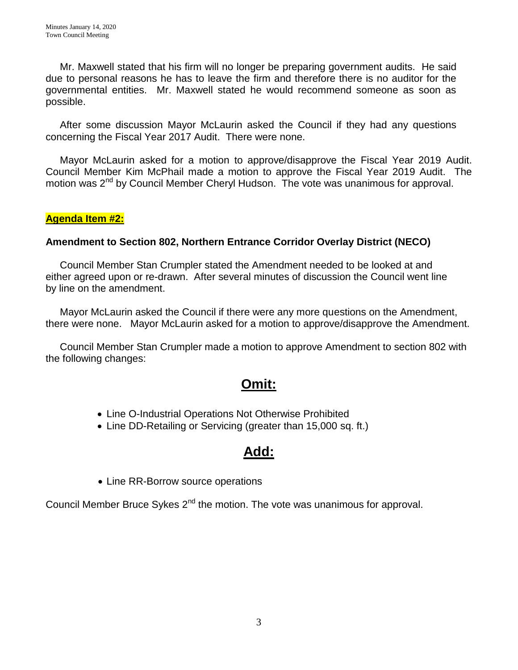Mr. Maxwell stated that his firm will no longer be preparing government audits. He said due to personal reasons he has to leave the firm and therefore there is no auditor for the governmental entities. Mr. Maxwell stated he would recommend someone as soon as possible.

 After some discussion Mayor McLaurin asked the Council if they had any questions concerning the Fiscal Year 2017 Audit. There were none.

 Mayor McLaurin asked for a motion to approve/disapprove the Fiscal Year 2019 Audit. Council Member Kim McPhail made a motion to approve the Fiscal Year 2019 Audit. The motion was 2<sup>nd</sup> by Council Member Cheryl Hudson. The vote was unanimous for approval.

## **Agenda Item #2:**

## **Amendment to Section 802, Northern Entrance Corridor Overlay District (NECO)**

 Council Member Stan Crumpler stated the Amendment needed to be looked at and either agreed upon or re-drawn. After several minutes of discussion the Council went line by line on the amendment.

 Mayor McLaurin asked the Council if there were any more questions on the Amendment, there were none. Mayor McLaurin asked for a motion to approve/disapprove the Amendment.

 Council Member Stan Crumpler made a motion to approve Amendment to section 802 with the following changes:

# **Omit:**

- Line O-Industrial Operations Not Otherwise Prohibited
- Line DD-Retailing or Servicing (greater than 15,000 sq. ft.)

# **Add:**

• Line RR-Borrow source operations

Council Member Bruce Sykes  $2<sup>nd</sup>$  the motion. The vote was unanimous for approval.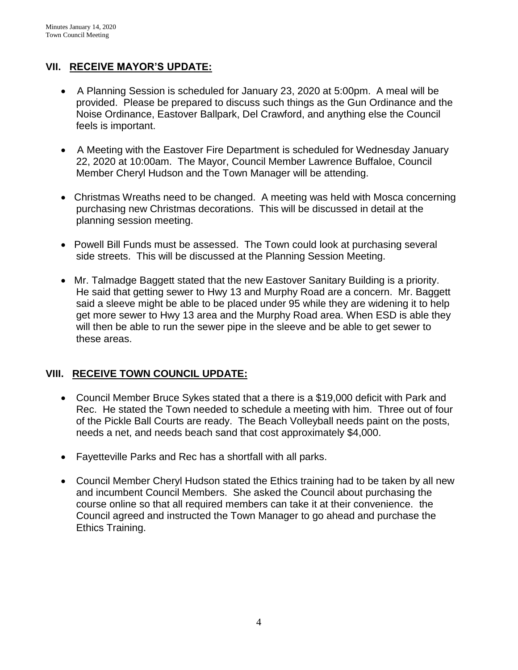# **VII. RECEIVE MAYOR'S UPDATE:**

- A Planning Session is scheduled for January 23, 2020 at 5:00pm. A meal will be provided. Please be prepared to discuss such things as the Gun Ordinance and the Noise Ordinance, Eastover Ballpark, Del Crawford, and anything else the Council feels is important.
- A Meeting with the Eastover Fire Department is scheduled for Wednesday January 22, 2020 at 10:00am. The Mayor, Council Member Lawrence Buffaloe, Council Member Cheryl Hudson and the Town Manager will be attending.
- Christmas Wreaths need to be changed. A meeting was held with Mosca concerning purchasing new Christmas decorations. This will be discussed in detail at the planning session meeting.
- Powell Bill Funds must be assessed. The Town could look at purchasing several side streets. This will be discussed at the Planning Session Meeting.
- Mr. Talmadge Baggett stated that the new Eastover Sanitary Building is a priority. He said that getting sewer to Hwy 13 and Murphy Road are a concern. Mr. Baggett said a sleeve might be able to be placed under 95 while they are widening it to help get more sewer to Hwy 13 area and the Murphy Road area. When ESD is able they will then be able to run the sewer pipe in the sleeve and be able to get sewer to these areas.

# **VIII. RECEIVE TOWN COUNCIL UPDATE:**

- Council Member Bruce Sykes stated that a there is a \$19,000 deficit with Park and Rec. He stated the Town needed to schedule a meeting with him. Three out of four of the Pickle Ball Courts are ready. The Beach Volleyball needs paint on the posts, needs a net, and needs beach sand that cost approximately \$4,000.
- Fayetteville Parks and Rec has a shortfall with all parks.
- Council Member Cheryl Hudson stated the Ethics training had to be taken by all new and incumbent Council Members. She asked the Council about purchasing the course online so that all required members can take it at their convenience. the Council agreed and instructed the Town Manager to go ahead and purchase the Ethics Training.